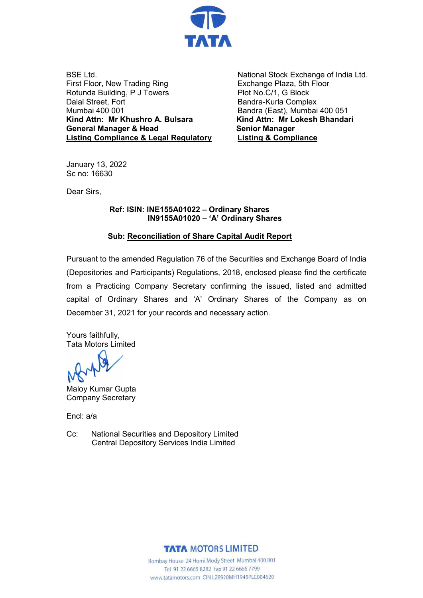

BSE Ltd. First Floor, New Trading Ring Rotunda Building, P J Towers Dalal Street, Fort Mumbai 400 001 **Kind Attn: Mr Khushro A. Bulsara General Manager & Head Listing Compliance & Legal Regulatory**

National Stock Exchange of India Ltd. Exchange Plaza, 5th Floor Plot No.C/1, G Block Bandra-Kurla Complex Bandra (East), Mumbai 400 051 **Kind Attn: Mr Lokesh Bhandari Senior Manager Listing & Compliance**

January 13, 2022 Sc no: 16630

Dear Sirs,

 **Ref: ISIN: INE155A01022 – Ordinary Shares IN9155A01020 – 'A' Ordinary Shares**

### **Sub: Reconciliation of Share Capital Audit Report**

Pursuant to the amended Regulation 76 of the Securities and Exchange Board of India (Depositories and Participants) Regulations, 2018, enclosed please find the certificate from a Practicing Company Secretary confirming the issued, listed and admitted capital of Ordinary Shares and 'A' Ordinary Shares of the Company as on December 31, 2021 for your records and necessary action.

Yours faithfully, Tata Motors Limited

Maloy Kumar Gupta Company Secretary

Encl: a/a

Cc: National Securities and Depository Limited Central Depository Services India Limited



Bombay House 24 Homi Mody Street Mumbai 400 001 Tel 91 22 6665 8282 Fax 91 22 6665 7799 www.tatamotors.com CIN L28920MH1945PLC004520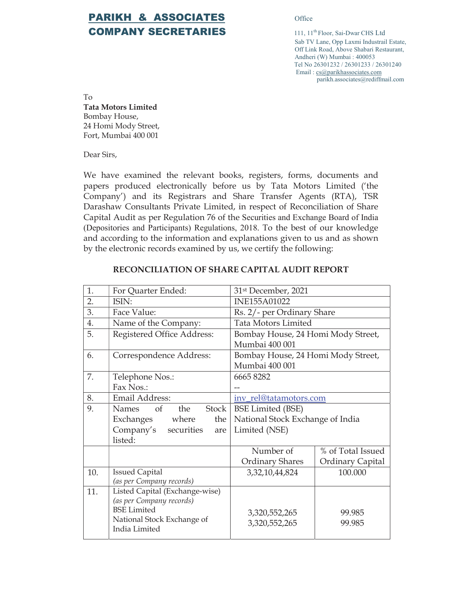## PARIKH & ASSOCIATES Office **COMPANY SECRETARIES** 111, 11<sup>th</sup> Floor, Sai-Dwar CHS Ltd

Sab TV Lane, Opp Laxmi Industrail Estate, Off Link Road, Above Shabari Restaurant, Andheri (W) Mumbai : 400053 Tel No 26301232 / 26301233 / 26301240 Email : cs@parikhassociates.com parikh.associates@rediffmail.com

To Tata Motors Limited Bombay House, 24 Homi Mody Street, Fort, Mumbai 400 001

Dear Sirs,

We have examined the relevant books, registers, forms, documents and papers produced electronically before us by Tata Motors Limited ('the Company') and its Registrars and Share Transfer Agents (RTA), TSR Darashaw Consultants Private Limited, in respect of Reconciliation of Share Capital Audit as per Regulation 76 of the Securities and Exchange Board of India (Depositories and Participants) Regulations, 2018. To the best of our knowledge and according to the information and explanations given to us and as shown by the electronic records examined by us, we certify the following:

| 1.  | For Quarter Ended:                             | 31st December, 2021                |                   |  |
|-----|------------------------------------------------|------------------------------------|-------------------|--|
| 2.  | ISIN:                                          | <b>INE155A01022</b>                |                   |  |
| 3.  | Face Value:                                    | Rs. 2/- per Ordinary Share         |                   |  |
| 4.  | Name of the Company:                           | <b>Tata Motors Limited</b>         |                   |  |
| 5.  | Registered Office Address:                     | Bombay House, 24 Homi Mody Street, |                   |  |
|     |                                                | Mumbai 400 001                     |                   |  |
| 6.  | Correspondence Address:                        | Bombay House, 24 Homi Mody Street, |                   |  |
|     |                                                | Mumbai 400 001                     |                   |  |
| 7.  | Telephone Nos.:                                | 66658282                           |                   |  |
|     | Fax Nos.:                                      |                                    |                   |  |
| 8.  | Email Address:                                 | inv_rel@tatamotors.com             |                   |  |
| 9.  | Names of<br>the<br><b>Stock</b>                | <b>BSE Limited (BSE)</b>           |                   |  |
|     | Exchanges where<br>the                         | National Stock Exchange of India   |                   |  |
|     | Company's securities<br>are                    | Limited (NSE)                      |                   |  |
|     | listed:                                        |                                    |                   |  |
|     |                                                | Number of                          | % of Total Issued |  |
|     |                                                | <b>Ordinary Shares</b>             | Ordinary Capital  |  |
| 10. | <b>Issued Capital</b>                          | 3, 32, 10, 44, 824                 | 100.000           |  |
|     | (as per Company records)                       |                                    |                   |  |
| 11. | Listed Capital (Exchange-wise)                 |                                    |                   |  |
|     | (as per Company records)<br><b>BSE</b> Limited |                                    |                   |  |
|     | National Stock Exchange of                     | 3,320,552,265                      | 99.985            |  |
|     | India Limited                                  | 3,320,552,265                      | 99.985            |  |
|     |                                                |                                    |                   |  |

#### RECONCILIATION OF SHARE CAPITAL AUDIT REPORT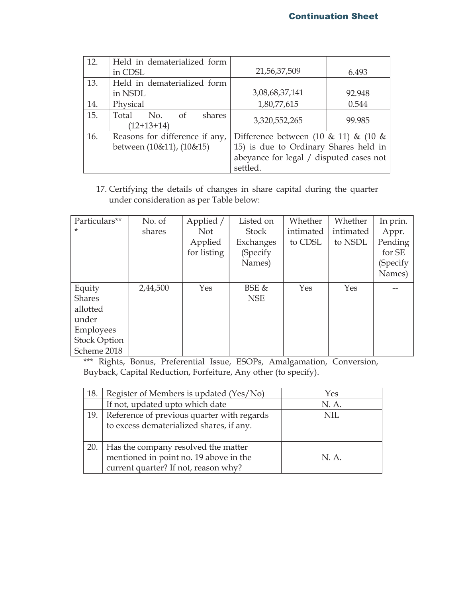| 12. | Held in dematerialized form                                |                                                                                         |        |
|-----|------------------------------------------------------------|-----------------------------------------------------------------------------------------|--------|
|     | in CDSL                                                    | 21,56,37,509                                                                            | 6.493  |
| 13. | Held in dematerialized form                                |                                                                                         |        |
|     | in NSDL                                                    | 3,08,68,37,141                                                                          | 92.948 |
| 14. | Physical                                                   | 1,80,77,615                                                                             | 0.544  |
| 15. | Total<br>No.<br>shares<br>of<br>$(12+13+14)$               | 3,320,552,265                                                                           | 99.985 |
| 16. | Reasons for difference if any,<br>between (10&11), (10&15) | Difference between $(10 \& 11)$ & $(10 \& 11)$<br>15) is due to Ordinary Shares held in |        |
|     |                                                            | abeyance for legal / disputed cases not<br>settled.                                     |        |

17. Certifying the details of changes in share capital during the quarter under consideration as per Table below:

| Particulars**       | No. of   | Applied /   | Listed on    | Whether   | Whether   | In prin. |
|---------------------|----------|-------------|--------------|-----------|-----------|----------|
| $\ast$              | shares   | <b>Not</b>  | <b>Stock</b> | intimated | intimated | Appr.    |
|                     |          | Applied     | Exchanges    | to CDSL   | to NSDL   | Pending  |
|                     |          | for listing | (Specify     |           |           | for SE   |
|                     |          |             | Names)       |           |           | (Specify |
|                     |          |             |              |           |           | Names)   |
| Equity              | 2,44,500 | Yes         | <b>BSE</b> & | Yes       | Yes       |          |
| <b>Shares</b>       |          |             | <b>NSE</b>   |           |           |          |
| allotted            |          |             |              |           |           |          |
| under               |          |             |              |           |           |          |
| <b>Employees</b>    |          |             |              |           |           |          |
| <b>Stock Option</b> |          |             |              |           |           |          |
| Scheme 2018         |          |             |              |           |           |          |

\*\*\* Rights, Bonus, Preferential Issue, ESOPs, Amalgamation, Conversion, Buyback, Capital Reduction, Forfeiture, Any other (to specify).

| 18. | Register of Members is updated (Yes/No)                                                                                     | Yes   |
|-----|-----------------------------------------------------------------------------------------------------------------------------|-------|
|     | If not, updated upto which date                                                                                             | N. A. |
| 19. | Reference of previous quarter with regards<br>to excess dematerialized shares, if any.                                      | NIL.  |
|     | 20.   Has the company resolved the matter<br>mentioned in point no. 19 above in the<br>current quarter? If not, reason why? | N.A.  |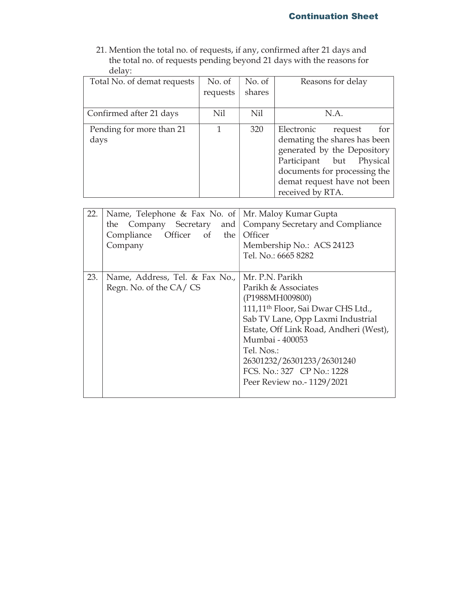21. Mention the total no. of requests, if any, confirmed after 21 days and the total no. of requests pending beyond 21 days with the reasons for delay:

| Total No. of demat requests      | No. of   | No. of | Reasons for delay                                                                                                                                                                      |
|----------------------------------|----------|--------|----------------------------------------------------------------------------------------------------------------------------------------------------------------------------------------|
|                                  | requests | shares |                                                                                                                                                                                        |
|                                  |          |        |                                                                                                                                                                                        |
| Confirmed after 21 days          | Nil      | Nil    | N.A.                                                                                                                                                                                   |
| Pending for more than 21<br>days | 1        | 320    | Electronic<br>for<br>request<br>demating the shares has been<br>generated by the Depository<br>Participant but Physical<br>documents for processing the<br>demat request have not been |
|                                  |          |        | received by RTA.                                                                                                                                                                       |

| 22. | Name, Telephone & Fax No. of<br>Company Secretary<br>and<br>the<br>Compliance Officer of<br>the<br>Company | Mr. Maloy Kumar Gupta<br>Company Secretary and Compliance<br>Officer<br>Membership No.: ACS 24123<br>Tel. No.: 6665 8282                                                                                                                                                                                             |
|-----|------------------------------------------------------------------------------------------------------------|----------------------------------------------------------------------------------------------------------------------------------------------------------------------------------------------------------------------------------------------------------------------------------------------------------------------|
| 23. | Name, Address, Tel. & Fax No.,<br>Regn. No. of the CA/CS                                                   | Mr. P.N. Parikh<br>Parikh & Associates<br>(P1988MH009800)<br>111,11 <sup>th</sup> Floor, Sai Dwar CHS Ltd.,<br>Sab TV Lane, Opp Laxmi Industrial<br>Estate, Off Link Road, Andheri (West),<br>Mumbai - 400053<br>Tel. Nos.:<br>26301232/26301233/26301240<br>FCS. No.: 327 CP No.: 1228<br>Peer Review no.-1129/2021 |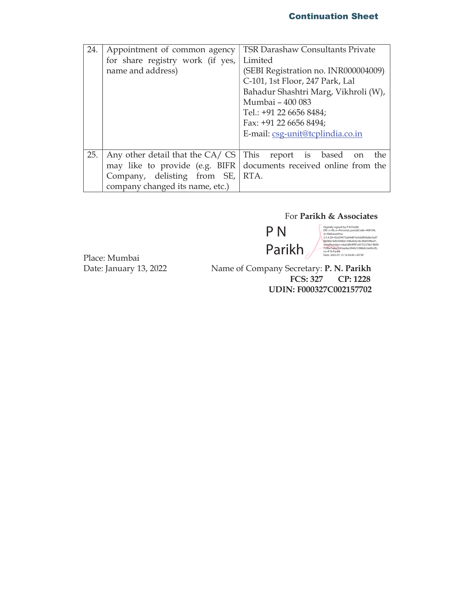### Continuation Sheet

| 24. | Appointment of common agency     | <b>TSR Darashaw Consultants Private</b>         |  |
|-----|----------------------------------|-------------------------------------------------|--|
|     | for share registry work (if yes, | Limited                                         |  |
|     | name and address)                | (SEBI Registration no. INR000004009)            |  |
|     |                                  | C-101, 1st Floor, 247 Park, Lal                 |  |
|     |                                  | Bahadur Shashtri Marg, Vikhroli (W),            |  |
|     |                                  | Mumbai - 400 083                                |  |
|     |                                  | Tel.: +91 22 6656 8484;                         |  |
|     |                                  | Fax: +91 22 6656 8494;                          |  |
|     |                                  | E-mail: csg-unit@tcplindia.co.in                |  |
|     |                                  |                                                 |  |
| 25. | Any other detail that the CA/CS  | This<br>report is based<br>the<br><sub>on</sub> |  |
|     | may like to provide (e.g. BIFR)  | documents received online from the              |  |
|     | Company, delisting from SE,      | RTA.                                            |  |
|     | company changed its name, etc.)  |                                                 |  |

#### For Parikh & Associates

P N Parikh

Digitally signed by PN Parikh<br>Digitally signed by PN Parikh<br>st=Maharashtra,<br>2.5.4.20-02a59473a64d87ecbddfe0a8e3ad7<br>2.5.4.20-02a59473a64d87ecbddfe0a8e3ad7<br>serialNumber=e6a5dfe9991e9732378e19849<br>775be1a9a5543aafae294fe7c98b0

Place: Mumbai

Name of Company Secretary: P. N. Parikh<br>FCS: 327 CP: 1228 CP: 1228 UDIN: F000327C002157702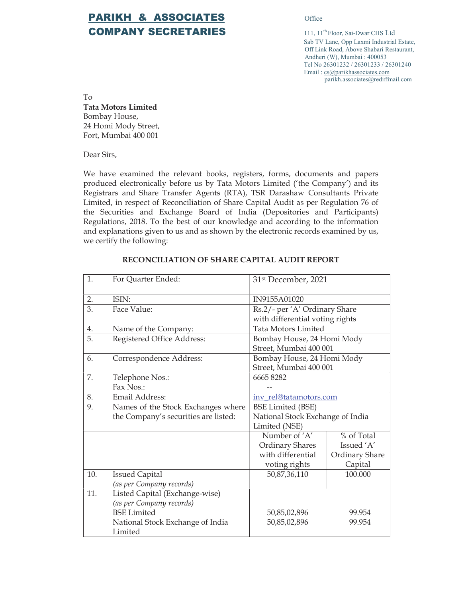# PARIKH & ASSOCIATES **Office COMPANY SECRETARIES** 111, 11<sup>th</sup> Floor, Sai-Dwar CHS Ltd

 Sab TV Lane, Opp Laxmi Industrial Estate, Off Link Road, Above Shabari Restaurant, Andheri (W), Mumbai : 400053 Tel No 26301232 / 26301233 / 26301240 Email : cs@parikhassociates.com parikh.associates@rediffmail.com

To Tata Motors Limited Bombay House, 24 Homi Mody Street, Fort, Mumbai 400 001

Dear Sirs,

We have examined the relevant books, registers, forms, documents and papers produced electronically before us by Tata Motors Limited ('the Company') and its Registrars and Share Transfer Agents (RTA), TSR Darashaw Consultants Private Limited, in respect of Reconciliation of Share Capital Audit as per Regulation 76 of the Securities and Exchange Board of India (Depositories and Participants) Regulations, 2018. To the best of our knowledge and according to the information and explanations given to us and as shown by the electronic records examined by us, we certify the following:

| 1.  | For Quarter Ended:                   | 31st December, 2021              |                       |  |
|-----|--------------------------------------|----------------------------------|-----------------------|--|
| 2.  | ISIN:                                | IN9155A01020                     |                       |  |
| 3.  | Face Value:                          | Rs.2/- per 'A' Ordinary Share    |                       |  |
|     |                                      | with differential voting rights  |                       |  |
| 4.  | Name of the Company:                 | <b>Tata Motors Limited</b>       |                       |  |
| 5.  | Registered Office Address:           | Bombay House, 24 Homi Mody       |                       |  |
|     |                                      | Street, Mumbai 400 001           |                       |  |
| 6.  | Correspondence Address:              | Bombay House, 24 Homi Mody       |                       |  |
|     |                                      | Street, Mumbai 400 001           |                       |  |
| 7.  | Telephone Nos.:                      | 66658282                         |                       |  |
|     | Fax Nos.:                            |                                  |                       |  |
| 8.  | Email Address:                       | inv rel@tatamotors.com           |                       |  |
| 9.  | Names of the Stock Exchanges where   | <b>BSE Limited (BSE)</b>         |                       |  |
|     | the Company's securities are listed: | National Stock Exchange of India |                       |  |
|     |                                      | Limited (NSE)                    |                       |  |
|     |                                      | Number of 'A'                    | % of Total            |  |
|     |                                      | <b>Ordinary Shares</b>           | Issued 'A'            |  |
|     |                                      | with differential                | <b>Ordinary Share</b> |  |
|     |                                      | voting rights                    | Capital               |  |
| 10. | <b>Issued Capital</b>                | 50,87,36,110                     | 100.000               |  |
|     | (as per Company records)             |                                  |                       |  |
| 11. | Listed Capital (Exchange-wise)       |                                  |                       |  |
|     | (as per Company records)             |                                  |                       |  |
|     | <b>BSE</b> Limited                   | 50,85,02,896                     | 99.954                |  |
|     | National Stock Exchange of India     | 50,85,02,896                     | 99.954                |  |
|     | Limited                              |                                  |                       |  |

#### RECONCILIATION OF SHARE CAPITAL AUDIT REPORT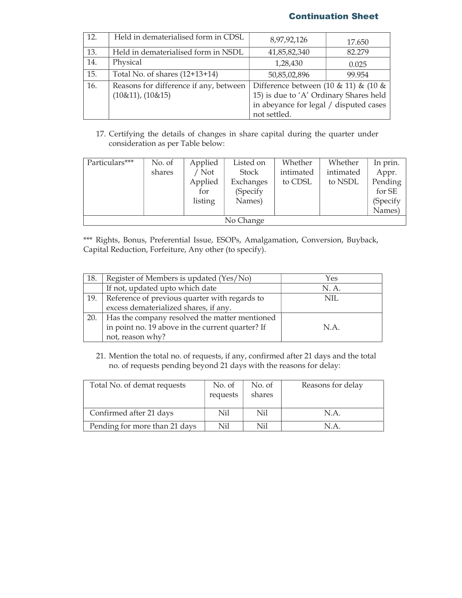#### Continuation Sheet

| 12. | Held in dematerialised form in CDSL                            | 8,97,92,126                                                                                                                                    | 17.650 |
|-----|----------------------------------------------------------------|------------------------------------------------------------------------------------------------------------------------------------------------|--------|
| 13. | Held in dematerialised form in NSDL                            | 41,85,82,340<br>82.279                                                                                                                         |        |
| 14. | Physical                                                       | 1,28,430<br>0.025                                                                                                                              |        |
| 15. | Total No. of shares $(12+13+14)$                               | 50,85,02,896<br>99.954                                                                                                                         |        |
| 16. | Reasons for difference if any, between<br>$(10\&11), (10\&15)$ | Difference between $(10 \& 11)$ & $(10 \&$<br>15) is due to 'A' Ordinary Shares held<br>in abeyance for legal / disputed cases<br>not settled. |        |

17. Certifying the details of changes in share capital during the quarter under consideration as per Table below:

| Particulars*** | No. of | Applied | Listed on | Whether   | Whether   | In prin. |
|----------------|--------|---------|-----------|-----------|-----------|----------|
|                | shares | / Not   | Stock     | intimated | intimated | Appr.    |
|                |        | Applied | Exchanges | to CDSL   | to NSDL   | Pending  |
|                |        | for     | (Specify  |           |           | for SE   |
|                |        | listing | Names)    |           |           | (Specify |
|                |        |         |           |           |           | Names)   |
| No Change      |        |         |           |           |           |          |

\*\*\* Rights, Bonus, Preferential Issue, ESOPs, Amalgamation, Conversion, Buyback, Capital Reduction, Forfeiture, Any other (to specify).

| 18. | Register of Members is updated (Yes/No)             | Yes   |
|-----|-----------------------------------------------------|-------|
|     | If not, updated upto which date                     | N. A. |
| 19. | Reference of previous quarter with regards to       | NIL.  |
|     | excess dematerialized shares, if any.               |       |
|     | 20.   Has the company resolved the matter mentioned |       |
|     | in point no. 19 above in the current quarter? If    | N.A.  |
|     | not, reason why?                                    |       |

21. Mention the total no. of requests, if any, confirmed after 21 days and the total no. of requests pending beyond 21 days with the reasons for delay:

| Total No. of demat requests   | No. of<br>requests | No. of<br>shares | Reasons for delay |
|-------------------------------|--------------------|------------------|-------------------|
| Confirmed after 21 days       | Nil                | Nil              | N.A.              |
| Pending for more than 21 days | Nil                | Nil              | N.A               |